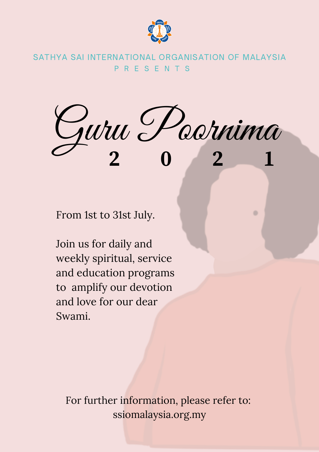

P R E S E N T S SATHYA SAI INTERNATIONAL ORGANISATION OF MALAYSIA

Guru Poornima **2 0 2 1**

From 1st to 31st July.

Join us for daily and weekly spiritual, service and education programs to amplify our devotion and love for our dear Swami.

For further information, please refer to: ssiomalaysia.org.my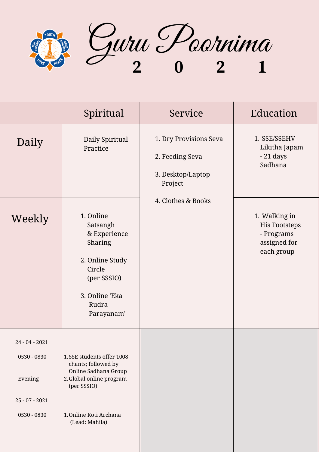

|                                                                               | Spiritual                                                                                                                                                       | Service                                                                   | Education                                                                         |
|-------------------------------------------------------------------------------|-----------------------------------------------------------------------------------------------------------------------------------------------------------------|---------------------------------------------------------------------------|-----------------------------------------------------------------------------------|
| Daily                                                                         | Daily Spiritual<br>Practice                                                                                                                                     | 1. Dry Provisions Seva<br>2. Feeding Seva<br>3. Desktop/Laptop<br>Project | 1. SSE/SSEHV<br>Likitha Japam<br>$-21$ days<br>Sadhana                            |
| Weekly                                                                        | 1. Online<br>Satsangh<br>& Experience<br>Sharing<br>2. Online Study<br>Circle<br>(per SSSIO)<br>3. Online 'Eka<br>Rudra<br>Parayanam'                           | 4. Clothes & Books                                                        | 1. Walking in<br><b>His Footsteps</b><br>- Programs<br>assigned for<br>each group |
| $24 - 04 - 2021$<br>0530 - 0830<br>Evening<br>$25 - 07 - 2021$<br>0530 - 0830 | 1.SSE students offer 1008<br>chants; followed by<br>Online Sadhana Group<br>2. Global online program<br>(per SSSIO)<br>1. Online Koti Archana<br>(Lead: Mahila) |                                                                           |                                                                                   |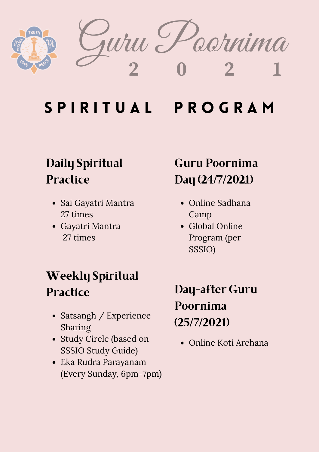

darnima  $2$  **1**  $\frac{1}{2}$ 

# S P I R I T U A L P R O G R A M

### Daily Spiritual **Practice**

- Sai Gayatri Mantra 27 times
- Gayatri Mantra 27 times

### Weekly Spiritual **Practice**

- Satsangh / Experience Sharing
- Study Circle (based on SSSIO Study Guide)
- Eka Rudra Parayanam (Every Sunday, 6pm-7pm)

### Guru Poornima Day (24/7/2021)

- Online Sadhana Camp
- Global Online Program (per SSSIO)

### Day-after Guru Poornima (25/7/2021)

Online Koti Archana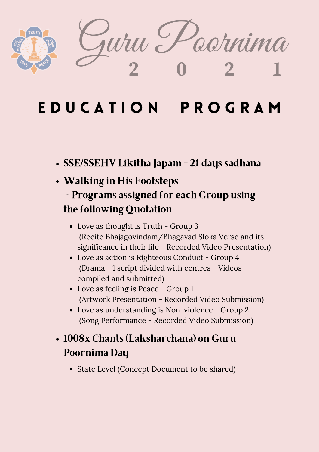

## E D U C A T I O N P R O G R A M

- SSE/SSEHV Likitha Japam 21 days sadhana
- Walking in His Footsteps

#### - Programs assigned for each Group using the following Quotation

- Love as thought is Truth Group 3 (Recite Bhajagovindam/Bhagavad Sloka Verse and its significance in their life - Recorded Video Presentation)
- Love as action is Righteous Conduct Group 4 (Drama - 1 script divided with centres - Videos compiled and submitted)
- Love as feeling is Peace Group 1 (Artwork Presentation - Recorded Video Submission)
- Love as understanding is Non-violence Group 2 (Song Performance - Recorded Video Submission)

### 1008x Chants (Laksharchana) on Guru Poornima Day

• State Level (Concept Document to be shared)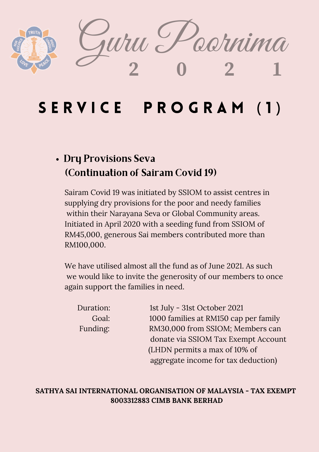

### SERVICE PROGRAM (1)

#### Dry Provisions Seva (Continuation of Sairam Covid 19)

Sairam Covid 19 was initiated by SSIOM to assist centres in supplying dry provisions for the poor and needy families within their Narayana Seva or Global Community areas. Initiated in April 2020 with a seeding fund from SSIOM of RM45,000, generous Sai members contributed more than RM100,000.

We have utilised almost all the fund as of June 2021. As such we would like to invite the generosity of our members to once again support the families in need.

| Duration: | 1st July - 31st October 2021          |
|-----------|---------------------------------------|
| Goal:     | 1000 families at RM150 cap per family |
| Funding:  | RM30,000 from SSIOM; Members can      |
|           | donate via SSIOM Tax Exempt Account   |
|           | (LHDN permits a max of 10% of         |
|           | aggregate income for tax deduction)   |

#### **8003312883 CIMB BANK BERHAD SATHYA SAI INTERNATIONAL ORGANISATION OF MALAYSIA - TAX EXEMPT**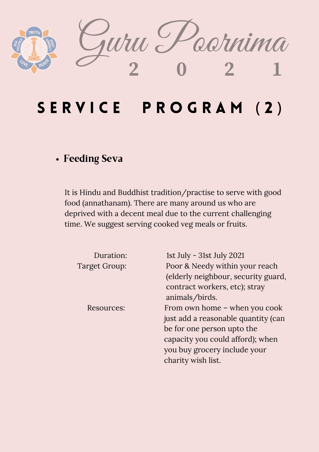

## SERVICE PROGRAM (2)

#### Feeding Seva

It is Hindu and Buddhist tradition/practise to serve with good food (annathanam). There are many around us who are deprived with a decent meal due to the current challenging time. We suggest serving cooked veg meals or fruits.

| Duration:     | 1st July - 31st July 2021           |
|---------------|-------------------------------------|
| Target Group: | Poor & Needy within your reach      |
|               | (elderly neighbour, security guard, |
|               | contract workers, etc); stray       |
|               | animals/birds.                      |
| Resources:    | From own home – when you cook       |
|               | just add a reasonable quantity (can |
|               | be for one person upto the          |
|               | capacity you could afford); when    |
|               | you buy grocery include your        |
|               | charity wish list.                  |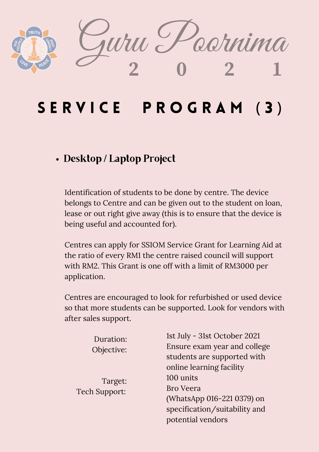

## SERVICE PROGRAM (3)

#### Desktop / Laptop Project

Identification of students to be done by centre. The device belongs to Centre and can be given out to the student on loan, lease or out right give away (this is to ensure that the device is being useful and accounted for).

Centres can apply for SSIOM Service Grant for Learning Aid at the ratio of every RM1 the centre raised council will support with RM2. This Grant is one off with a limit of RM3000 per application.

Centres are encouraged to look for refurbished or used device so that more students can be supported. Look for vendors with after sales support.

| Duration:            | 1st July - 31st October 2021  |
|----------------------|-------------------------------|
| Objective:           | Ensure exam year and college  |
|                      | students are supported with   |
|                      | online learning facility      |
| Target:              | 100 units                     |
| <b>Tech Support:</b> | <b>Bro Veera</b>              |
|                      | (WhatsApp 016-221 0379) on    |
|                      | specification/suitability and |
|                      | potential vendors             |